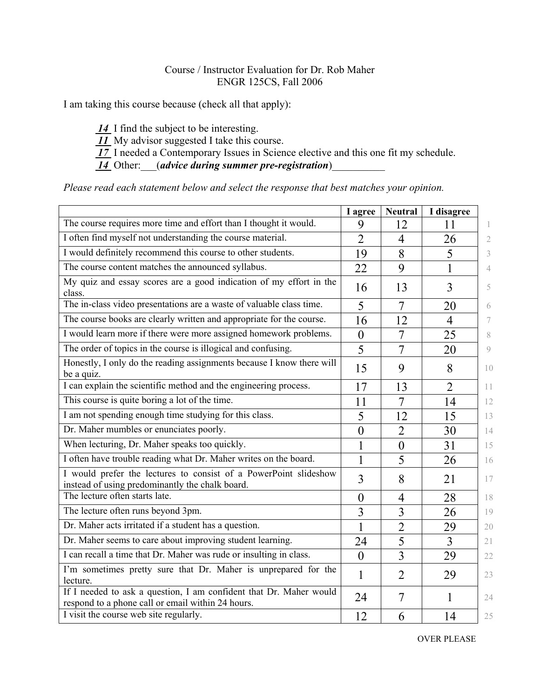## Course / Instructor Evaluation for Dr. Rob Maher ENGR 125CS, Fall 2006

I am taking this course because (check all that apply):

 *14* I find the subject to be interesting.

 *11* My advisor suggested I take this course.

 *17* I needed a Contemporary Issues in Science elective and this one fit my schedule.

 *14* Other:\_\_\_(*advice during summer pre-registration*)\_\_\_\_\_\_\_\_\_\_

*Please read each statement below and select the response that best matches your opinion.*

|                                                                                                                         | I agree        | <b>Neutral</b> | I disagree     |               |
|-------------------------------------------------------------------------------------------------------------------------|----------------|----------------|----------------|---------------|
| The course requires more time and effort than I thought it would.                                                       | 9              | 12             | 11             | T.            |
| I often find myself not understanding the course material.                                                              | $\overline{2}$ | $\overline{4}$ | 26             | 2             |
| I would definitely recommend this course to other students.                                                             | 19             | 8              | 5              | 3             |
| The course content matches the announced syllabus.                                                                      | 22             | 9              | $\mathbf{1}$   | 4             |
| My quiz and essay scores are a good indication of my effort in the<br>class.                                            | 16             | 13             | 3              | 5             |
| The in-class video presentations are a waste of valuable class time.                                                    | 5              | 7              | 20             | 6             |
| The course books are clearly written and appropriate for the course.                                                    | 16             | 12             | $\overline{4}$ | 7             |
| I would learn more if there were more assigned homework problems.                                                       | $\theta$       | 7              | 25             | 8             |
| The order of topics in the course is illogical and confusing.                                                           | 5              | 7              | 20             | $\mathcal{Q}$ |
| Honestly, I only do the reading assignments because I know there will<br>be a quiz.                                     | 15             | 9              | 8              | 10            |
| I can explain the scientific method and the engineering process.                                                        | 17             | 13             | $\overline{2}$ | 11            |
| This course is quite boring a lot of the time.                                                                          | 11             | 7              | 14             | 12            |
| I am not spending enough time studying for this class.                                                                  | 5              | 12             | 15             | 13            |
| Dr. Maher mumbles or enunciates poorly.                                                                                 | $\overline{0}$ | $\overline{2}$ | 30             | 14            |
| When lecturing, Dr. Maher speaks too quickly.                                                                           | $\mathbf{1}$   | $\overline{0}$ | 31             | 15            |
| I often have trouble reading what Dr. Maher writes on the board.                                                        | 1              | 5              | 26             | 16            |
| I would prefer the lectures to consist of a PowerPoint slideshow<br>instead of using predominantly the chalk board.     | 3              | 8              | 21             | 17            |
| The lecture often starts late.                                                                                          | $\theta$       | $\overline{4}$ | 28             | 18            |
| The lecture often runs beyond 3pm.                                                                                      | $\overline{3}$ | 3              | 26             | 19            |
| Dr. Maher acts irritated if a student has a question.                                                                   | 1              | $\overline{2}$ | 29             | 20            |
| Dr. Maher seems to care about improving student learning.                                                               | 24             | 5              | 3              | 21            |
| I can recall a time that Dr. Maher was rude or insulting in class.                                                      | $\overline{0}$ | $\overline{3}$ | 29             | 22            |
| I'm sometimes pretty sure that Dr. Maher is unprepared for the<br>lecture.                                              | 1              | $\overline{2}$ | 29             | 23            |
| If I needed to ask a question, I am confident that Dr. Maher would<br>respond to a phone call or email within 24 hours. | 24             | $\overline{7}$ | 1              | 24            |
| I visit the course web site regularly.                                                                                  | 12             | 6              | 14             | 25            |

OVER PLEASE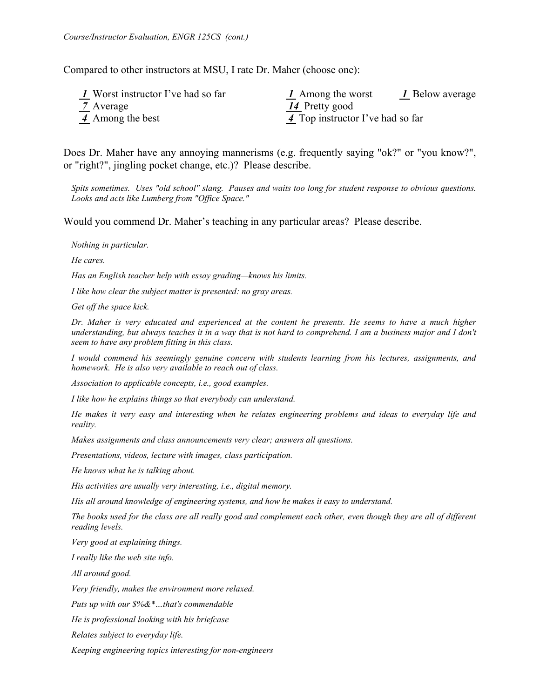Compared to other instructors at MSU, I rate Dr. Maher (choose one):

| 1 Worst instructor I've had so far | 1 Below average<br>1 Among the worst |
|------------------------------------|--------------------------------------|
| 7 Average                          | 14 Pretty good                       |
| 4 Among the best                   | 4 Top instructor I've had so far     |

Does Dr. Maher have any annoying mannerisms (e.g. frequently saying "ok?" or "you know?", or "right?", jingling pocket change, etc.)? Please describe.

*Spits sometimes. Uses "old school" slang. Pauses and waits too long for student response to obvious questions. Looks and acts like Lumberg from "Office Space."* 

Would you commend Dr. Maher's teaching in any particular areas? Please describe.

*Nothing in particular.* 

*He cares.* 

*Has an English teacher help with essay grading—knows his limits.* 

*I like how clear the subject matter is presented: no gray areas.* 

*Get off the space kick.* 

*Dr. Maher is very educated and experienced at the content he presents. He seems to have a much higher understanding, but always teaches it in a way that is not hard to comprehend. I am a business major and I don't seem to have any problem fitting in this class.* 

*I would commend his seemingly genuine concern with students learning from his lectures, assignments, and homework. He is also very available to reach out of class.* 

*Association to applicable concepts, i.e., good examples.* 

*I like how he explains things so that everybody can understand.* 

*He makes it very easy and interesting when he relates engineering problems and ideas to everyday life and reality.* 

*Makes assignments and class announcements very clear; answers all questions.* 

*Presentations, videos, lecture with images, class participation.* 

*He knows what he is talking about.* 

*His activities are usually very interesting, i.e., digital memory.* 

*His all around knowledge of engineering systems, and how he makes it easy to understand.* 

*The books used for the class are all really good and complement each other, even though they are all of different reading levels.* 

*Very good at explaining things.* 

*I really like the web site info.* 

*All around good.* 

*Very friendly, makes the environment more relaxed.* 

*Puts up with our \$%&\*…that's commendable* 

*He is professional looking with his briefcase* 

*Relates subject to everyday life.* 

*Keeping engineering topics interesting for non-engineers*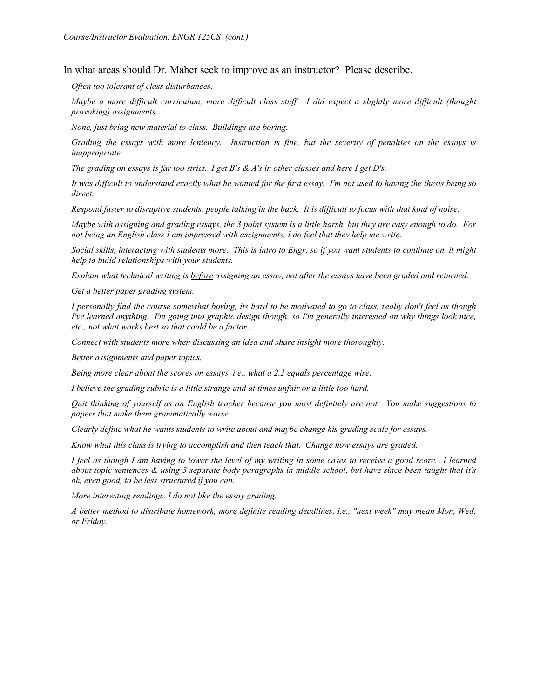In what areas should Dr. Maher seek to improve as an instructor? Please describe.

*Often too tolerant of class disturbances.* 

*Maybe a more difficult curriculum, more difficult class stuff. I did expect a slightly more difficult (thought provoking) assignments.* 

*None, just bring new material to class. Buildings are boring.* 

*Grading the essays with more leniency. Instruction is fine, but the severity of penalties on the essays is inappropriate.* 

*The grading on essays is far too strict. I get B's & A's in other classes and here I get D's.* 

*It was difficult to understand exactly what he wanted for the first essay. I'm not used to having the thesis being so direct.* 

*Respond faster to disruptive students, people talking in the back. It is difficult to focus with that kind of noise.* 

*Maybe with assigning and grading essays, the 3 point system is a little harsh, but they are easy enough to do. For not being an English class I am impressed with assignments, I do feel that they help me write.* 

*Social skills, interacting with students more. This is intro to Engr, so if you want students to continue on, it might help to build relationships with your students.* 

*Explain what technical writing is before assigning an essay, not after the essays have been graded and returned.* 

*Get a better paper grading system.* 

*I personally find the course somewhat boring, its hard to be motivated to go to class, really don't feel as though I've learned anything. I'm going into graphic design though, so I'm generally interested on why things look nice, etc., not what works best so that could be a factor…* 

*Connect with students more when discussing an idea and share insight more thoroughly.* 

*Better assignments and paper topics.* 

*Being more clear about the scores on essays, i.e., what a 2.2 equals percentage wise.* 

*I believe the grading rubric is a little strange and at times unfair or a little too hard.* 

*Quit thinking of yourself as an English teacher because you most definitely are not. You make suggestions to papers that make them grammatically worse.* 

*Clearly define what he wants students to write about and maybe change his grading scale for essays.* 

*Know what this class is trying to accomplish and then teach that. Change how essays are graded.* 

*I feel as though I am having to lower the level of my writing in some cases to receive a good score. I learned about topic sentences & using 3 separate body paragraphs in middle school, but have since been taught that it's ok, even good, to be less structured if you can.* 

*More interesting readings. I do not like the essay grading.* 

*A better method to distribute homework, more definite reading deadlines, i.e., "next week" may mean Mon, Wed, or Friday.*